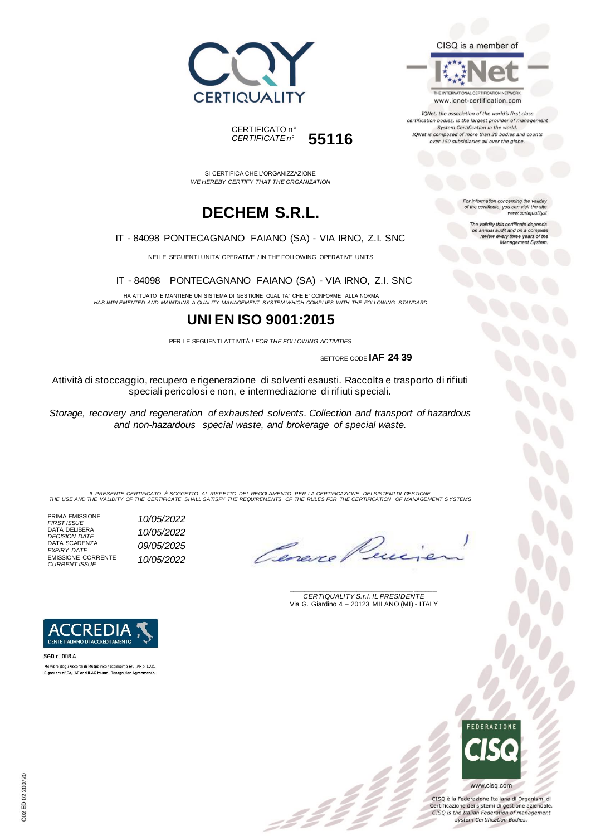



THE INTERNATIONAL CERTIFICATION NETWORK www.iqnet-certification.com

IQNet, the association of the world's first class certification bodies, is the largest provider of management System Certification in the world. IQNet is composed of more than 30 bodies and counts over 150 subsidiaries all over the globe.

For information concerning the validity<br>of the certificate, you can visit the site

The validity this certificate depends on annual audit and on a complete<br>review every three years of the<br>Management System.

www.certiquality.it

CERTIFICATO n° *CERTIFICATE n°* **55116**

SI CERTIFICA CHE L'ORGANIZZAZIONE *WE HEREBY CERTIFY THAT THE ORGANIZATION*

## **DECHEM S.R.L.**

#### IT - 84098 PONTECAGNANO FAIANO (SA) - VIA IRNO, Z.I. SNC

NELLE SEGUENTI UNITA' OPERATIVE / IN THE FOLLOWING OPERATIVE UNITS

IT - 84098 PONTECAGNANO FAIANO (SA) - VIA IRNO, Z.I. SNC

HA ATTUATO E MANTIENE UN SISTEMA DI GESTIONE QUALITA' CHE E' CONFORME ALLA NORMA *HAS IMPLEMENTED AND MAINTAINS A QUALITY MANAGEMENT SYSTEM WHICH COMPLIES WITH THE FOLLOWING STANDARD*

### **UNI EN ISO 9001:2015**

PER LE SEGUENTI ATTIVITÀ / *FOR THE FOLLOWING ACTIVITIES*

SETTORE CODE **IAF 24 39**

Attività di stoccaggio, recupero e rigenerazione di solventi esausti. Raccolta e trasporto di rifiuti speciali pericolosi e non, e intermediazione di rifiuti speciali.

*Storage, recovery and regeneration of exhausted solvents. Collection and transport of hazardous and non-hazardous special waste, and brokerage of special waste.*

IL PRESENTE CERTIFICATO E SOGGETTO AL RISPETTO DEL REGOLAMENTO PER LA CERTIFICAZIONE DEI SISTEMI DI GESTIONE<br>THE USE AND THE VALIDITY OF THE CERTIFICATE SHALL SATISFY THE REQUIREMENTS OF THE RULES FOR THE CERTIFICATION OF

PRIMA EMISSIONE *FIRST ISSUE 10/05/2022* DATA DELIBERA *DECISION DATE 10/05/2022* DATA SCADENZA *EXPIRY DATE 09/05/2025* EMISSIONE CORRENTE *CURRENT ISSUE 10/05/2022*

Omere

\_\_\_\_\_\_\_\_\_\_\_\_\_\_\_\_\_\_\_\_\_\_\_\_\_\_\_\_\_\_\_\_\_\_\_\_\_\_\_ *CERTIQUALITY S.r.l. IL PRESIDENTE* Via G. Giardino 4 – 20123 MILANO (MI) - ITALY



Membro degli Accordi di Mutuo riconoscimento EA, IAF e ILAC Signatory of EA, IAF and ILAC Mutual Recognition Agreements.

> **FFDFRATIONE** www.cisq.com

CISQ è la Federazione Italiana di Organismi di Certificazione dei sistemi di gestione aziendale. CISQ is the Italian Federation of management system Certification Bodies.